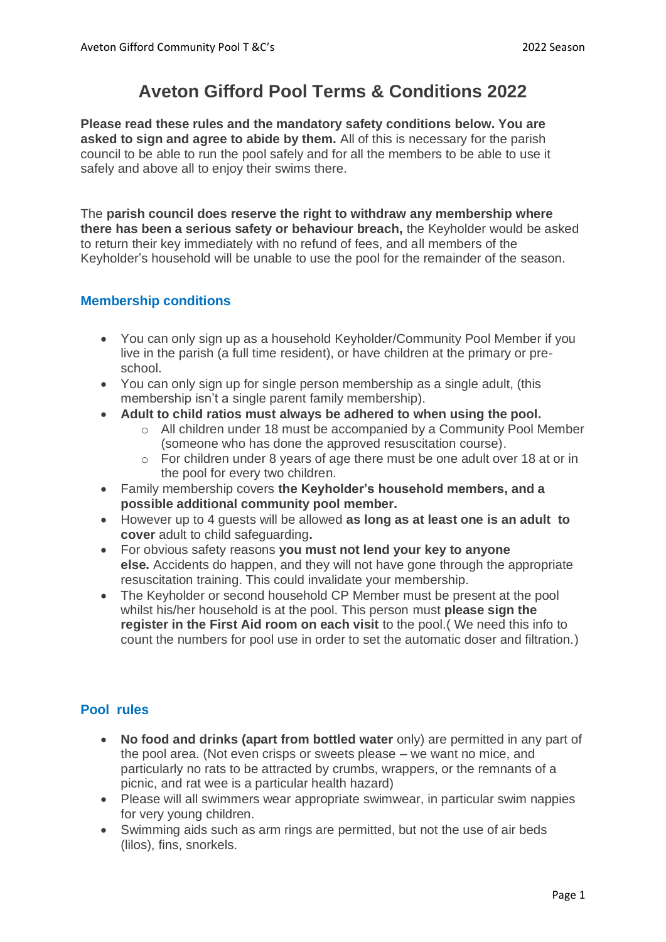# **Aveton Gifford Pool Terms & Conditions 2022**

**Please read these rules and the mandatory safety conditions below. You are asked to sign and agree to abide by them.** All of this is necessary for the parish council to be able to run the pool safely and for all the members to be able to use it safely and above all to enjoy their swims there.

The **parish council does reserve the right to withdraw any membership where there has been a serious safety or behaviour breach,** the Keyholder would be asked to return their key immediately with no refund of fees, and all members of the Keyholder's household will be unable to use the pool for the remainder of the season.

### **Membership conditions**

- You can only sign up as a household Keyholder/Community Pool Member if you live in the parish (a full time resident), or have children at the primary or preschool.
- You can only sign up for single person membership as a single adult, (this membership isn't a single parent family membership).
- **Adult to child ratios must always be adhered to when using the pool.** 
	- o All children under 18 must be accompanied by a Community Pool Member (someone who has done the approved resuscitation course).
	- o For children under 8 years of age there must be one adult over 18 at or in the pool for every two children.
- Family membership covers **the Keyholder's household members, and a possible additional community pool member.**
- However up to 4 guests will be allowed **as long as at least one is an adult to cover** adult to child safeguarding**.**
- For obvious safety reasons **you must not lend your key to anyone else.** Accidents do happen, and they will not have gone through the appropriate resuscitation training. This could invalidate your membership.
- The Keyholder or second household CP Member must be present at the pool whilst his/her household is at the pool. This person must **please sign the register in the First Aid room on each visit** to the pool.( We need this info to count the numbers for pool use in order to set the automatic doser and filtration.)

## **Pool rules**

- **No food and drinks (apart from bottled water** only) are permitted in any part of the pool area. (Not even crisps or sweets please – we want no mice, and particularly no rats to be attracted by crumbs, wrappers, or the remnants of a picnic, and rat wee is a particular health hazard)
- Please will all swimmers wear appropriate swimwear, in particular swim nappies for very young children.
- Swimming aids such as arm rings are permitted, but not the use of air beds (lilos), fins, snorkels.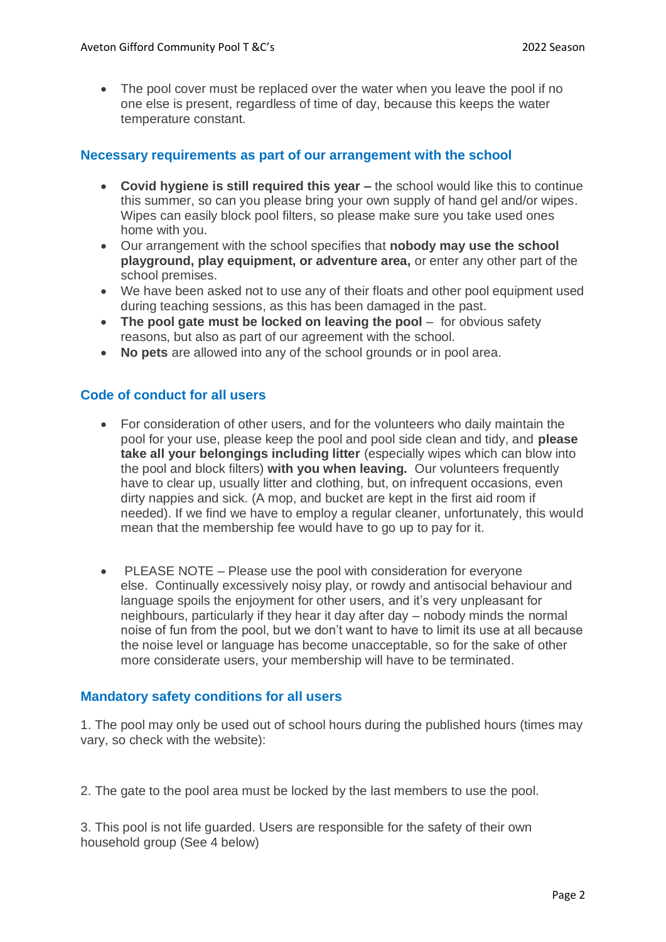• The pool cover must be replaced over the water when you leave the pool if no one else is present, regardless of time of day, because this keeps the water temperature constant.

#### **Necessary requirements as part of our arrangement with the school**

- **Covid hygiene is still required this year –** the school would like this to continue this summer, so can you please bring your own supply of hand gel and/or wipes. Wipes can easily block pool filters, so please make sure you take used ones home with you.
- Our arrangement with the school specifies that **nobody may use the school playground, play equipment, or adventure area,** or enter any other part of the school premises.
- We have been asked not to use any of their floats and other pool equipment used during teaching sessions, as this has been damaged in the past.
- **The pool gate must be locked on leaving the pool** for obvious safety reasons, but also as part of our agreement with the school.
- **No pets** are allowed into any of the school grounds or in pool area.

#### **Code of conduct for all users**

- For consideration of other users, and for the volunteers who daily maintain the pool for your use, please keep the pool and pool side clean and tidy, and **please take all your belongings including litter** (especially wipes which can blow into the pool and block filters) **with you when leaving.** Our volunteers frequently have to clear up, usually litter and clothing, but, on infrequent occasions, even dirty nappies and sick. (A mop, and bucket are kept in the first aid room if needed). If we find we have to employ a regular cleaner, unfortunately, this would mean that the membership fee would have to go up to pay for it.
- PLEASE NOTE Please use the pool with consideration for everyone else. Continually excessively noisy play, or rowdy and antisocial behaviour and language spoils the enjoyment for other users, and it's very unpleasant for neighbours, particularly if they hear it day after day – nobody minds the normal noise of fun from the pool, but we don't want to have to limit its use at all because the noise level or language has become unacceptable, so for the sake of other more considerate users, your membership will have to be terminated.

#### **Mandatory safety conditions for all users**

1. The pool may only be used out of school hours during the published hours (times may vary, so check with the website):

2. The gate to the pool area must be locked by the last members to use the pool.

3. This pool is not life guarded. Users are responsible for the safety of their own household group (See 4 below)